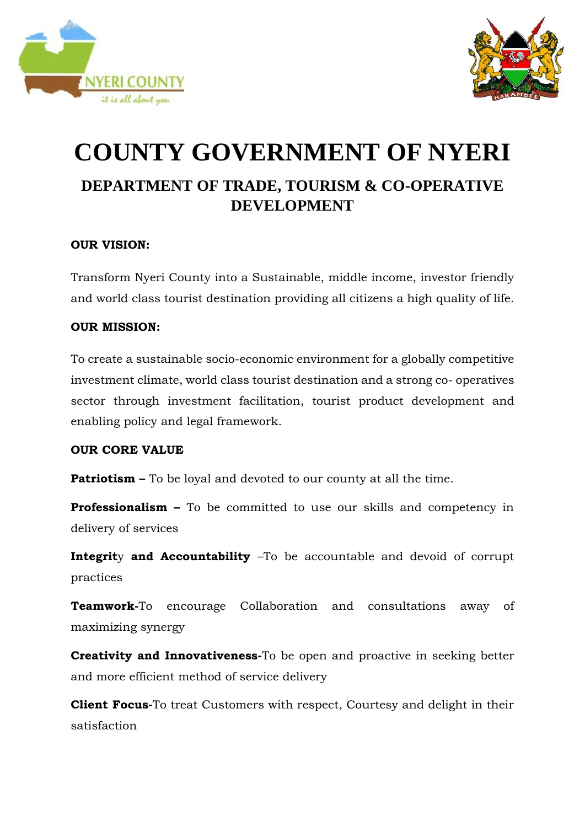



## **COUNTY GOVERNMENT OF NYERI DEPARTMENT OF TRADE, TOURISM & CO-OPERATIVE DEVELOPMENT**

### **OUR VISION:**

Transform Nyeri County into a Sustainable, middle income, investor friendly and world class tourist destination providing all citizens a high quality of life.

#### **OUR MISSION:**

To create a sustainable socio-economic environment for a globally competitive investment climate, world class tourist destination and a strong co- operatives sector through investment facilitation, tourist product development and enabling policy and legal framework.

#### **OUR CORE VALUE**

**Patriotism –** To be loyal and devoted to our county at all the time.

**Professionalism –** To be committed to use our skills and competency in delivery of services

**Integrit**y **and Accountability** –To be accountable and devoid of corrupt practices

**Teamwork-**To encourage Collaboration and consultations away of maximizing synergy

**Creativity and Innovativeness-**To be open and proactive in seeking better and more efficient method of service delivery

**Client Focus-**To treat Customers with respect, Courtesy and delight in their satisfaction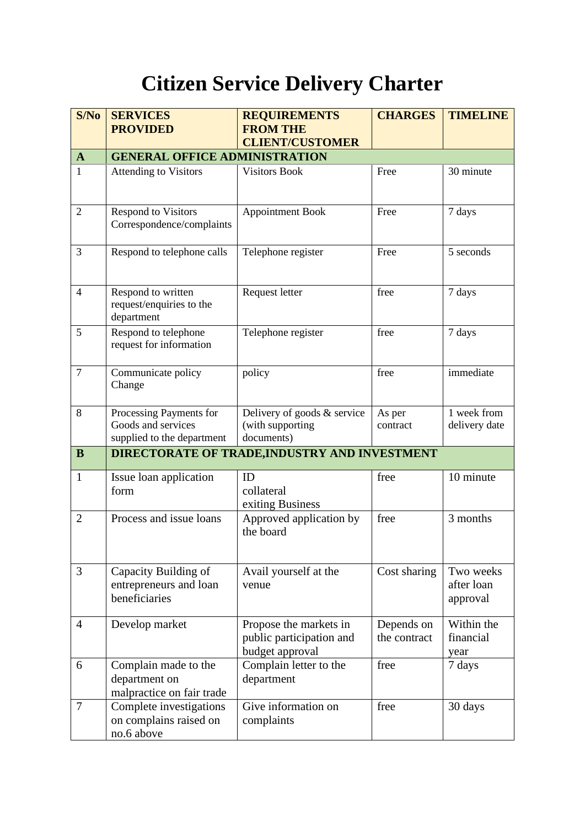# **Citizen Service Delivery Charter**

| S/No           | <b>SERVICES</b>                                                             | <b>REQUIREMENTS</b>                                                   | <b>CHARGES</b>             | <b>TIMELINE</b>                     |
|----------------|-----------------------------------------------------------------------------|-----------------------------------------------------------------------|----------------------------|-------------------------------------|
|                | <b>PROVIDED</b>                                                             | <b>FROM THE</b>                                                       |                            |                                     |
|                |                                                                             | <b>CLIENT/CUSTOMER</b>                                                |                            |                                     |
| $\mathbf{A}$   | <b>GENERAL OFFICE ADMINISTRATION</b>                                        |                                                                       |                            |                                     |
| 1              | <b>Attending to Visitors</b>                                                | <b>Visitors Book</b>                                                  | Free                       | 30 minute                           |
| $\overline{2}$ | <b>Respond to Visitors</b><br>Correspondence/complaints                     | <b>Appointment Book</b>                                               | Free                       | 7 days                              |
| 3              | Respond to telephone calls                                                  | Telephone register                                                    | Free                       | 5 seconds                           |
| $\overline{4}$ | Respond to written<br>request/enquiries to the<br>department                | Request letter                                                        | free                       | 7 days                              |
| 5              | Respond to telephone<br>request for information                             | Telephone register                                                    | free                       | 7 days                              |
| $\overline{7}$ | Communicate policy<br>Change                                                | policy                                                                | free                       | immediate                           |
| 8              | Processing Payments for<br>Goods and services<br>supplied to the department | Delivery of goods & service<br>(with supporting<br>documents)         | As per<br>contract         | 1 week from<br>delivery date        |
| $\bf{B}$       | <b>DIRECTORATE OF TRADE, INDUSTRY AND INVESTMENT</b>                        |                                                                       |                            |                                     |
| $\mathbf{1}$   | Issue loan application<br>form                                              | ID<br>collateral<br>exiting Business                                  | free                       | 10 minute                           |
| $\overline{2}$ | Process and issue loans                                                     | Approved application by<br>the board                                  | free                       | 3 months                            |
| 3              | Capacity Building of<br>entrepreneurs and loan<br>beneficiaries             | Avail yourself at the<br>venue                                        | Cost sharing               | Two weeks<br>after loan<br>approval |
| $\overline{4}$ | Develop market                                                              | Propose the markets in<br>public participation and<br>budget approval | Depends on<br>the contract | Within the<br>financial<br>year     |
| 6              | Complain made to the<br>department on<br>malpractice on fair trade          | Complain letter to the<br>department                                  | free                       | 7 days                              |
| 7              | Complete investigations<br>on complains raised on<br>no.6 above             | Give information on<br>complaints                                     | free                       | 30 days                             |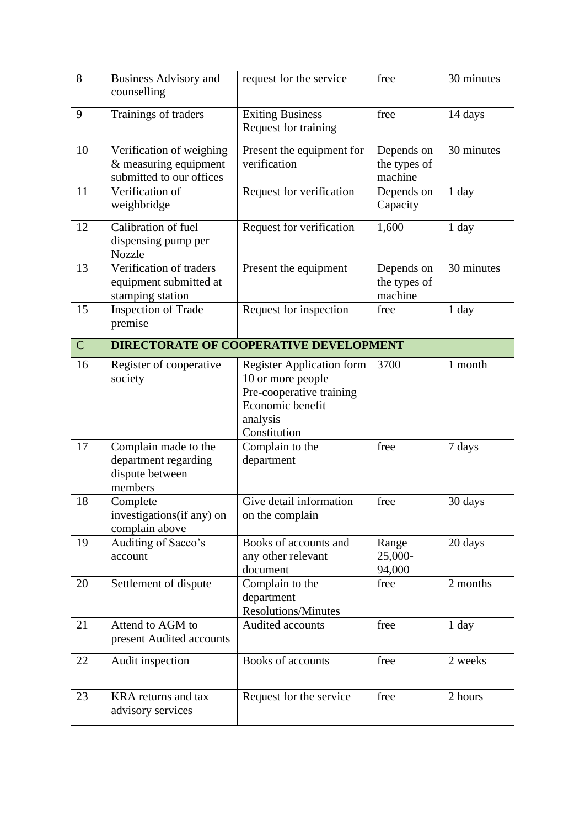| 8              | <b>Business Advisory and</b><br>counselling                                   | request for the service                                                                                                           | free                                  | 30 minutes |  |
|----------------|-------------------------------------------------------------------------------|-----------------------------------------------------------------------------------------------------------------------------------|---------------------------------------|------------|--|
| 9              | Trainings of traders                                                          | <b>Exiting Business</b><br>Request for training                                                                                   | free                                  | 14 days    |  |
| 10             | Verification of weighing<br>& measuring equipment<br>submitted to our offices | Present the equipment for<br>verification                                                                                         | Depends on<br>the types of<br>machine | 30 minutes |  |
| 11             | Verification of<br>weighbridge                                                | Request for verification                                                                                                          | Depends on<br>Capacity                | 1 day      |  |
| 12             | Calibration of fuel<br>dispensing pump per<br><b>Nozzle</b>                   | Request for verification                                                                                                          | 1,600                                 | 1 day      |  |
| 13             | Verification of traders<br>equipment submitted at<br>stamping station         | Present the equipment                                                                                                             | Depends on<br>the types of<br>machine | 30 minutes |  |
| 15             | <b>Inspection of Trade</b><br>premise                                         | Request for inspection                                                                                                            | free                                  | 1 day      |  |
| $\overline{C}$ | <b>DIRECTORATE OF COOPERATIVE DEVELOPMENT</b>                                 |                                                                                                                                   |                                       |            |  |
| 16             | Register of cooperative<br>society                                            | <b>Register Application form</b><br>10 or more people<br>Pre-cooperative training<br>Economic benefit<br>analysis<br>Constitution | 3700                                  | 1 month    |  |
| 17             | Complain made to the<br>department regarding<br>dispute between<br>members    | Complain to the<br>department                                                                                                     | free                                  | 7 days     |  |
| 18             | Complete<br>investigations (if any) on<br>complain above                      | Give detail information<br>on the complain                                                                                        | free                                  | 30 days    |  |
| 19             | Auditing of Sacco's<br>account                                                | Books of accounts and<br>any other relevant<br>document                                                                           | Range<br>25,000-<br>94,000            | 20 days    |  |
| 20             | Settlement of dispute                                                         | Complain to the<br>department<br>Resolutions/Minutes                                                                              | free                                  | 2 months   |  |
| 21             | Attend to AGM to<br>present Audited accounts                                  | Audited accounts                                                                                                                  | free                                  | $1$ day    |  |
| 22             | Audit inspection                                                              | Books of accounts                                                                                                                 | free                                  | 2 weeks    |  |
| 23             | KRA returns and tax<br>advisory services                                      | Request for the service                                                                                                           | free                                  | 2 hours    |  |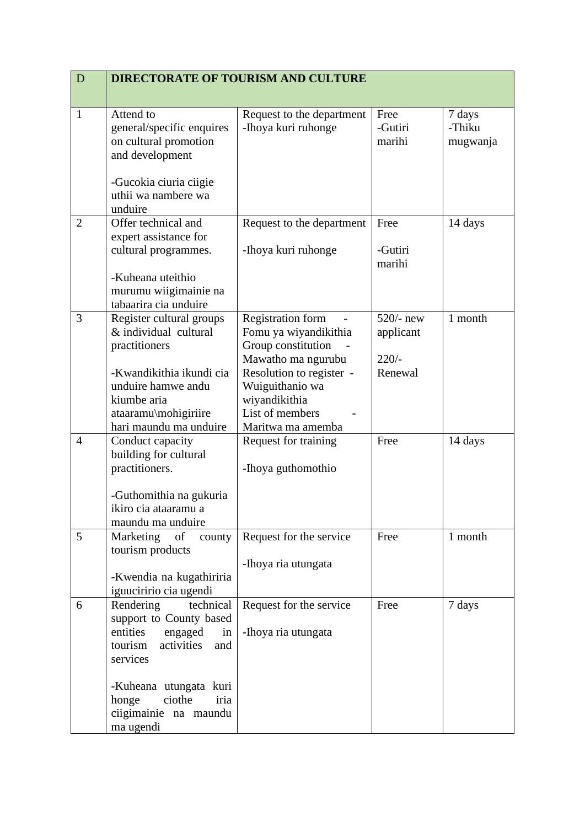| $\mathbf D$ | <b>DIRECTORATE OF TOURISM AND CULTURE</b>                                                                                  |                                                                                                                           |                                     |                              |
|-------------|----------------------------------------------------------------------------------------------------------------------------|---------------------------------------------------------------------------------------------------------------------------|-------------------------------------|------------------------------|
|             |                                                                                                                            |                                                                                                                           |                                     |                              |
| 1           | Attend to<br>general/specific enquires<br>on cultural promotion<br>and development<br>-Gucokia ciuria ciigie               | Request to the department<br>-Ihoya kuri ruhonge                                                                          | Free<br>-Gutiri<br>marihi           | 7 days<br>-Thiku<br>mugwanja |
|             | uthii wa nambere wa<br>unduire                                                                                             |                                                                                                                           |                                     |                              |
| 2           | Offer technical and<br>expert assistance for<br>cultural programmes.                                                       | Request to the department<br>-Ihoya kuri ruhonge                                                                          | Free<br>-Gutiri<br>marihi           | 14 days                      |
|             | -Kuheana uteithio<br>murumu wiigimainie na<br>tabaarira cia unduire                                                        |                                                                                                                           |                                     |                              |
| 3           | Register cultural groups<br>& individual cultural<br>practitioners                                                         | <b>Registration form</b><br>$\overline{\phantom{m}}$<br>Fomu ya wiyandikithia<br>Group constitution<br>Mawatho ma ngurubu | $520/-$ new<br>applicant<br>$220/-$ | 1 month                      |
|             | -Kwandikithia ikundi cia<br>unduire hamwe andu<br>kiumbe aria<br>ataaramu\mohigiriire<br>hari maundu ma unduire            | Resolution to register -<br>Wuiguithanio wa<br>wiyandikithia<br>List of members<br>Maritwa ma amemba                      | Renewal                             |                              |
| 4           | Conduct capacity<br>building for cultural<br>practitioners.<br>-Guthomithia na gukuria                                     | Request for training<br>-Ihoya guthomothio                                                                                | Free                                | 14 days                      |
|             | ikiro cia ataaramu a<br>maundu ma unduire                                                                                  |                                                                                                                           |                                     |                              |
| 5           | Marketing<br>of<br>county<br>tourism products<br>-Kwendia na kugathiriria                                                  | Request for the service<br>-Ihoya ria utungata                                                                            | Free                                | 1 month                      |
|             | iguuciririo cia ugendi                                                                                                     |                                                                                                                           |                                     |                              |
| 6           | Rendering<br>technical<br>support to County based<br>entities<br>engaged<br>in<br>activities<br>and<br>tourism<br>services | Request for the service<br>-Ihoya ria utungata                                                                            | Free                                | 7 days                       |
|             | -Kuheana utungata kuri<br>ciothe<br>iria<br>honge<br>ciigimainie na maundu<br>ma ugendi                                    |                                                                                                                           |                                     |                              |